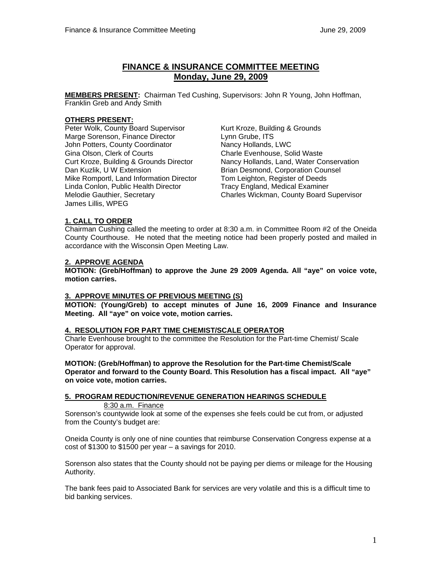# **FINANCE & INSURANCE COMMITTEE MEETING Monday, June 29, 2009**

**MEMBERS PRESENT:** Chairman Ted Cushing, Supervisors: John R Young, John Hoffman, Franklin Greb and Andy Smith

### **OTHERS PRESENT:**

Peter Wolk, County Board Supervisor Kurt Kroze, Building & Grounds Marge Sorenson, Finance Director **Lynn Grube, ITS** John Potters, County Coordinator Nancy Hollands, LWC Gina Olson, Clerk of Courts Charle Evenhouse, Solid Waste Mike Romportl, Land Information Director Linda Conlon, Public Health Director Tracy England, Medical Examiner James Lillis, WPEG

Curt Kroze, Building & Grounds Director Nancy Hollands, Land, Water Conservation<br>Dan Kuzlik, U W Extension **Nancy State** Brian Desmond, Corporation Counsel Brian Desmond, Corporation Counsel<br>Tom Leighton, Register of Deeds Melodie Gauthier, Secretary Charles Wickman, County Board Supervisor

### **1. CALL TO ORDER**

Chairman Cushing called the meeting to order at 8:30 a.m. in Committee Room #2 of the Oneida County Courthouse. He noted that the meeting notice had been properly posted and mailed in accordance with the Wisconsin Open Meeting Law.

#### **2. APPROVE AGENDA**

**MOTION: (Greb/Hoffman) to approve the June 29 2009 Agenda. All "aye" on voice vote, motion carries.** 

### **3. APPROVE MINUTES OF PREVIOUS MEETING (S)**

 **MOTION: (Young/Greb) to accept minutes of June 16, 2009 Finance and Insurance Meeting. All "aye" on voice vote, motion carries.** 

#### **4. RESOLUTION FOR PART TIME CHEMIST/SCALE OPERATOR**

Charle Evenhouse brought to the committee the Resolution for the Part-time Chemist/ Scale Operator for approval.

**MOTION: (Greb/Hoffman) to approve the Resolution for the Part-time Chemist/Scale Operator and forward to the County Board. This Resolution has a fiscal impact. All "aye" on voice vote, motion carries.** 

# **5. PROGRAM REDUCTION/REVENUE GENERATION HEARINGS SCHEDULE**

#### 8:30 a.m. Finance

Sorenson's countywide look at some of the expenses she feels could be cut from, or adjusted from the County's budget are:

Oneida County is only one of nine counties that reimburse Conservation Congress expense at a  $cost$  of \$1300 to \$1500 per year – a savings for 2010.

Sorenson also states that the County should not be paying per diems or mileage for the Housing Authority.

The bank fees paid to Associated Bank for services are very volatile and this is a difficult time to bid banking services.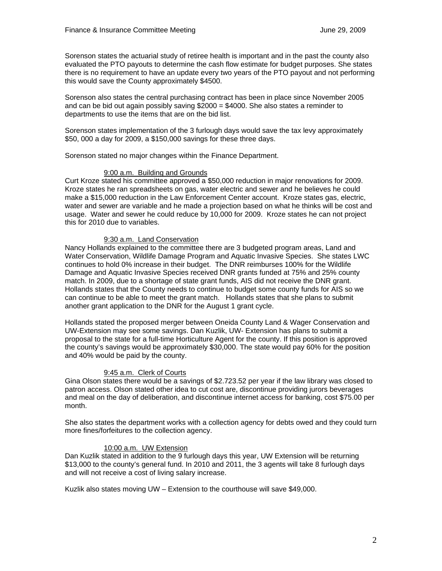Sorenson states the actuarial study of retiree health is important and in the past the county also evaluated the PTO payouts to determine the cash flow estimate for budget purposes. She states there is no requirement to have an update every two years of the PTO payout and not performing this would save the County approximately \$4500.

Sorenson also states the central purchasing contract has been in place since November 2005 and can be bid out again possibly saving  $$2000 = $4000$ . She also states a reminder to departments to use the items that are on the bid list.

Sorenson states implementation of the 3 furlough days would save the tax levy approximately \$50, 000 a day for 2009, a \$150,000 savings for these three days.

Sorenson stated no major changes within the Finance Department.

### 9:00 a.m. Building and Grounds

Curt Kroze stated his committee approved a \$50,000 reduction in major renovations for 2009. Kroze states he ran spreadsheets on gas, water electric and sewer and he believes he could make a \$15,000 reduction in the Law Enforcement Center account. Kroze states gas, electric, water and sewer are variable and he made a projection based on what he thinks will be cost and usage. Water and sewer he could reduce by 10,000 for 2009. Kroze states he can not project this for 2010 due to variables.

# 9:30 a.m. Land Conservation

Nancy Hollands explained to the committee there are 3 budgeted program areas, Land and Water Conservation, Wildlife Damage Program and Aquatic Invasive Species. She states LWC continues to hold 0% increase in their budget. The DNR reimburses 100% for the Wildlife Damage and Aquatic Invasive Species received DNR grants funded at 75% and 25% county match. In 2009, due to a shortage of state grant funds, AIS did not receive the DNR grant. Hollands states that the County needs to continue to budget some county funds for AIS so we can continue to be able to meet the grant match. Hollands states that she plans to submit another grant application to the DNR for the August 1 grant cycle.

Hollands stated the proposed merger between Oneida County Land & Wager Conservation and UW-Extension may see some savings. Dan Kuzlik, UW- Extension has plans to submit a proposal to the state for a full-time Horticulture Agent for the county. If this position is approved the county's savings would be approximately \$30,000. The state would pay 60% for the position and 40% would be paid by the county.

# 9:45 a.m. Clerk of Courts

Gina Olson states there would be a savings of \$2.723.52 per year if the law library was closed to patron access. Olson stated other idea to cut cost are, discontinue providing jurors beverages and meal on the day of deliberation, and discontinue internet access for banking, cost \$75.00 per month.

She also states the department works with a collection agency for debts owed and they could turn more fines/forfeitures to the collection agency.

# 10:00 a.m. UW Extension

Dan Kuzlik stated in addition to the 9 furlough days this year, UW Extension will be returning \$13,000 to the county's general fund. In 2010 and 2011, the 3 agents will take 8 furlough days and will not receive a cost of living salary increase.

Kuzlik also states moving UW – Extension to the courthouse will save \$49,000.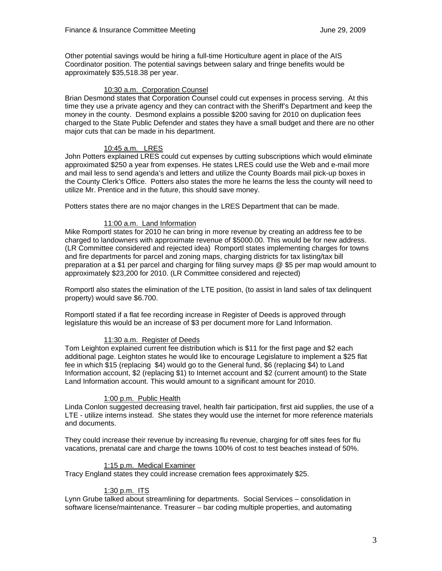Other potential savings would be hiring a full-time Horticulture agent in place of the AIS Coordinator position. The potential savings between salary and fringe benefits would be approximately \$35,518.38 per year.

### 10:30 a.m. Corporation Counsel

Brian Desmond states that Corporation Counsel could cut expenses in process serving. At this time they use a private agency and they can contract with the Sheriff's Department and keep the money in the county. Desmond explains a possible \$200 saving for 2010 on duplication fees charged to the State Public Defender and states they have a small budget and there are no other major cuts that can be made in his department.

### 10:45 a.m. LRES

John Potters explained LRES could cut expenses by cutting subscriptions which would eliminate approximated \$250 a year from expenses. He states LRES could use the Web and e-mail more and mail less to send agenda's and letters and utilize the County Boards mail pick-up boxes in the County Clerk's Office. Potters also states the more he learns the less the county will need to utilize Mr. Prentice and in the future, this should save money.

Potters states there are no major changes in the LRES Department that can be made.

### 11:00 a.m. Land Information

Mike Romportl states for 2010 he can bring in more revenue by creating an address fee to be charged to landowners with approximate revenue of \$5000.00. This would be for new address. (LR Committee considered and rejected idea) Romportl states implementing charges for towns and fire departments for parcel and zoning maps, charging districts for tax listing/tax bill preparation at a \$1 per parcel and charging for filing survey maps @ \$5 per map would amount to approximately \$23,200 for 2010. (LR Committee considered and rejected)

Romportl also states the elimination of the LTE position, (to assist in land sales of tax delinquent property) would save \$6.700.

Romportl stated if a flat fee recording increase in Register of Deeds is approved through legislature this would be an increase of \$3 per document more for Land Information.

#### 11:30 a.m. Register of Deeds

Tom Leighton explained current fee distribution which is \$11 for the first page and \$2 each additional page. Leighton states he would like to encourage Legislature to implement a \$25 flat fee in which \$15 (replacing \$4) would go to the General fund, \$6 (replacing \$4) to Land Information account, \$2 (replacing \$1) to Internet account and \$2 (current amount) to the State Land Information account. This would amount to a significant amount for 2010.

#### 1:00 p.m. Public Health

Linda Conlon suggested decreasing travel, health fair participation, first aid supplies, the use of a LTE - utilize interns instead. She states they would use the internet for more reference materials and documents.

They could increase their revenue by increasing flu revenue, charging for off sites fees for flu vacations, prenatal care and charge the towns 100% of cost to test beaches instead of 50%.

#### 1:15 p.m. Medical Examiner

Tracy England states they could increase cremation fees approximately \$25.

# 1:30 p.m. ITS

Lynn Grube talked about streamlining for departments. Social Services – consolidation in software license/maintenance. Treasurer – bar coding multiple properties, and automating